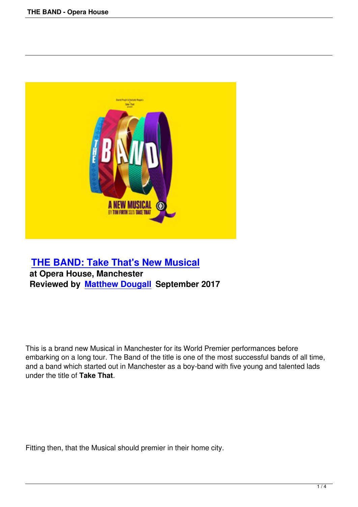

## **THE BAND: Take That's New Musical at Opera House, Manchester [Reviewed by Matthew Dougall September](the-band-opera-house.html) 2017**

This is a brand new Musical in Manchester for its World Premier performances before embarking on a long tour. The Band of the title is one of the most successful bands of all time, and a band which started out in Manchester as a boy-band with five young and talented lads under the title of **Take That**.

Fitting then, that the Musical should premier in their home city.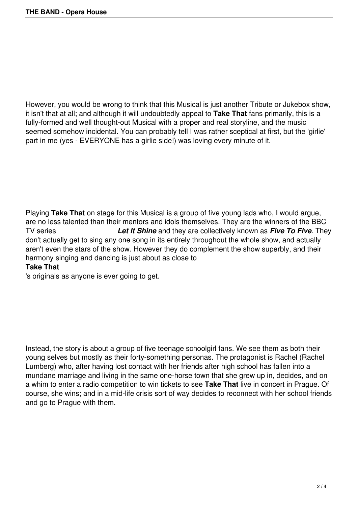However, you would be wrong to think that this Musical is just another Tribute or Jukebox show, it isn't that at all; and although it will undoubtedly appeal to **Take That** fans primarily, this is a fully-formed and well thought-out Musical with a proper and real storyline, and the music seemed somehow incidental. You can probably tell I was rather sceptical at first, but the 'girlie' part in me (yes - EVERYONE has a girlie side!) was loving every minute of it.

Playing **Take That** on stage for this Musical is a group of five young lads who, I would argue, are no less talented than their mentors and idols themselves. They are the winners of the BBC TV series *Let It Shine* and they are collectively known as *Five To Five*. They don't actually get to sing any one song in its entirely throughout the whole show, and actually aren't even the stars of the show. However they do complement the show superbly, and their harmony singing and dancing is just about as close to

## **Take That**

's originals as anyone is ever going to get.

Instead, the story is about a group of five teenage schoolgirl fans. We see them as both their young selves but mostly as their forty-something personas. The protagonist is Rachel (Rachel Lumberg) who, after having lost contact with her friends after high school has fallen into a mundane marriage and living in the same one-horse town that she grew up in, decides, and on a whim to enter a radio competition to win tickets to see **Take That** live in concert in Prague. Of course, she wins; and in a mid-life crisis sort of way decides to reconnect with her school friends and go to Prague with them.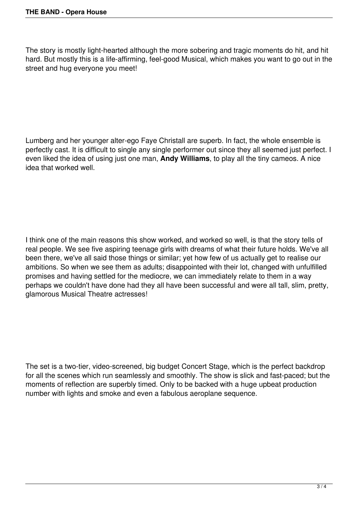The story is mostly light-hearted although the more sobering and tragic moments do hit, and hit hard. But mostly this is a life-affirming, feel-good Musical, which makes you want to go out in the street and hug everyone you meet!

Lumberg and her younger alter-ego Faye Christall are superb. In fact, the whole ensemble is perfectly cast. It is difficult to single any single performer out since they all seemed just perfect. I even liked the idea of using just one man, **Andy Williams**, to play all the tiny cameos. A nice idea that worked well.

I think one of the main reasons this show worked, and worked so well, is that the story tells of real people. We see five aspiring teenage girls with dreams of what their future holds. We've all been there, we've all said those things or similar; yet how few of us actually get to realise our ambitions. So when we see them as adults; disappointed with their lot, changed with unfulfilled promises and having settled for the mediocre, we can immediately relate to them in a way perhaps we couldn't have done had they all have been successful and were all tall, slim, pretty, glamorous Musical Theatre actresses!

The set is a two-tier, video-screened, big budget Concert Stage, which is the perfect backdrop for all the scenes which run seamlessly and smoothly. The show is slick and fast-paced; but the moments of reflection are superbly timed. Only to be backed with a huge upbeat production number with lights and smoke and even a fabulous aeroplane sequence.